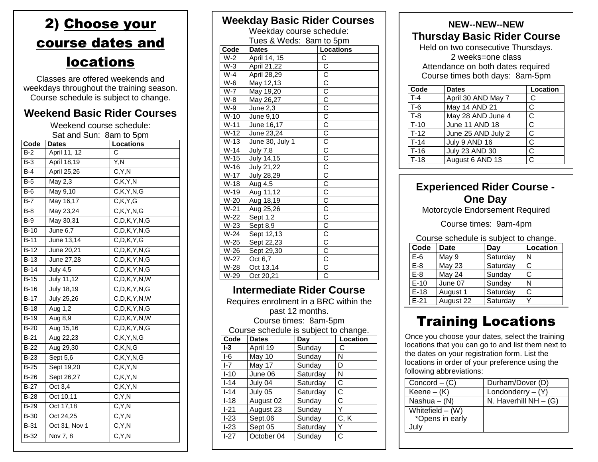## 2) Choose your course dates and

## locations

Classes are offered weekends and weekdays throughout the training season. Course schedule is subject to change.

## **Weekend Basic Rider Courses**

| Weekend course schedule: |                 |                  |  |
|--------------------------|-----------------|------------------|--|
| Sat and Sun: 8am to 5pm  |                 |                  |  |
| Code                     | <b>Dates</b>    | Locations        |  |
| $B-2$                    | April 11, 12    | C                |  |
| $B-3$                    | April 18,19     | Y,N              |  |
| $B-4$                    | April 25,26     | C, Y, N          |  |
| $B-5$                    | May 2,3         | C, K, Y, N       |  |
| $B-6$                    | May 9,10        | C, K, Y, N, G    |  |
| $B-7$                    | May 16,17       | C, K, Y, G       |  |
| $B-8$                    | May 23,24       | C, K, Y, N, G    |  |
| $B-9$                    | May 30,31       | C, D, K, Y, N, G |  |
| $B-10$                   | June 6,7        | C, D, K, Y, N, G |  |
| $B-11$                   | June 13,14      | C, D, K, Y, G    |  |
| $B-12$                   | June 20,21      | C, D, K, Y, N, G |  |
| $B-13$                   | June 27,28      | C, D, K, Y, N, G |  |
| $B-14$                   | <b>July 4,5</b> | C, D, K, Y, N, G |  |
| $B-15$                   | July 11,12      | C, D, K, Y, N, W |  |
| $B-16$                   | July 18,19      | C, D, K, Y, N, G |  |
| $B-17$                   | July 25,26      | C, D, K, Y, N, W |  |
| $B-18$                   | Aug $1,2$       | C, D, K, Y, N, G |  |
| $B-19$                   | Aug 8,9         | C, D, K, Y, N, W |  |
| $B-20$                   | Aug 15,16       | C, D, K, Y, N, G |  |
| $B-21$                   | Aug 22,23       | C, K, Y, N, G    |  |
| $B-22$                   | Aug 29,30       | C, K, N, G       |  |
| $B-23$                   | Sept 5,6        | C, K, Y, N, G    |  |
| $B-25$                   | Sept 19,20      | C, K, Y, N       |  |
| $B-26$                   | Sept 26,27      | C.K.Y.N          |  |
| $B-27$                   | Oct 3,4         | C, K, Y, N       |  |
| $B-28$                   | Oct 10,11       | C, Y, N          |  |
| $B-29$                   | Oct 17,18       | C, Y, N          |  |
| <b>B-30</b>              | Oct 24,25       | C, Y, N          |  |
| $\overline{B-31}$        | Oct 31, Nov 1   | C, Y, N          |  |
| $B-32$                   | Nov 7, 8        | C, Y, N          |  |
|                          |                 |                  |  |

| <b>Weekday Basic Rider Courses</b> |                          |                |  |
|------------------------------------|--------------------------|----------------|--|
|                                    | Weekday course schedule: |                |  |
|                                    | Tues & Weds: 8am to 5pm  |                |  |
| Code                               | <b>Dates</b>             | Locations      |  |
| $W-2$                              | April 14, 15             | $\overline{C}$ |  |
| $W-3$                              | April 21,22              |                |  |
| $W-4$                              | April 28,29              |                |  |
| W-6                                | May 12,13                |                |  |
| $W-7$                              | May 19,20                |                |  |
| $W-8$                              | May 26,27                |                |  |
| W-9                                | June 2,3                 |                |  |
| $W-10$                             | June 9,10                |                |  |
| W-11                               | June 16,17               |                |  |
| W-12                               | June 23,24               |                |  |
| W-13                               | June 30, July 1          |                |  |
| W-14                               | <b>July 7,8</b>          |                |  |
| W-15                               | July 14,15               |                |  |
| W-16                               | July 21,22               |                |  |
| W-17                               | <b>July 28,29</b>        |                |  |
| W-18                               | Aug 4,5                  |                |  |
| W-19                               | Aug 11,12                |                |  |
| $W-20$                             | Aug 18,19                |                |  |
| W-21                               | Aug 25,26                |                |  |
| W-22                               | Sept 1,2                 |                |  |
| W-23                               | Sept 8,9                 |                |  |
| $W-24$                             | Sept 12,13               |                |  |
| W-25                               | Sept 22,23               |                |  |
| W-26                               | Sept 29,30               |                |  |
| W-27                               | Oct 6,7                  |                |  |
| W-28                               | Oct 13,14                |                |  |
| W-29                               | Oct 20,21                |                |  |

### **Intermediate Rider Course**

Requires enrolment in a BRC within the past 12 months. Course times: 8am-5pm Course schedule is subject to change.

| Code    | <b>Dates</b> | Day      | Location |
|---------|--------------|----------|----------|
| $I-3$   | April 19     | Sunday   | С        |
| $1-6$   | May 10       | Sunday   | N        |
| $I - 7$ | May 17       | Sunday   | D        |
| $I-10$  | June 06      | Saturday | N        |
| $I-14$  | July 04      | Saturday | С        |
| $I-14$  | July 05      | Saturday | C        |
| $I-18$  | August 02    | Sunday   | C        |
| $I-21$  | August 23    | Sunday   | Υ        |
| $I-23$  | Sept.06      | Sunday   | C, K     |
| $I-23$  | Sept 05      | Saturday | Y        |
| $I-27$  | October 04   | Sunday   | C        |

## **NEW--NEW--NEW Thursday Basic Rider Course**

Held on two consecutive Thursdays. 2 weeks=one class Attendance on both dates required Course times both days: 8am-5pm

| Code   | <b>Dates</b>          | Location |
|--------|-----------------------|----------|
| $T-4$  | April 30 AND May 7    | С        |
| $T-6$  | May 14 AND 21         | С        |
| $T-8$  | May 28 AND June 4     | С        |
| $T-10$ | June 11 AND 18        | С        |
| $T-12$ | June 25 AND July 2    | C        |
| $T-14$ | July 9 AND 16         | C        |
| $T-16$ | <b>July 23 AND 30</b> | C        |
| $T-18$ | August 6 AND 13       | C        |

## **Experienced Rider Course - One Day**

Motorcycle Endorsement Required

Course times: 9am-4pm

Course schedule is subject to change.

| Code   | <b>Date</b>   | Day      | Location |
|--------|---------------|----------|----------|
| $E-6$  | May 9         | Saturday | N        |
| $E-8$  | <b>May 23</b> | Saturday | С        |
| $E-8$  | May 24        | Sunday   | С        |
| $E-10$ | June 07       | Sunday   | N        |
| $E-18$ | August 1      | Saturday | С        |
| $E-21$ | August 22     | Saturday | ∨        |

# Training Locations

Once you choose your dates, select the training locations that you can go to and list them next to the dates on your registration form. List the locations in order of your preference using the following abbreviations:

| $Concord - (C)$    | Durham/Dover (D)        |
|--------------------|-------------------------|
| Keene $-$ (K)      | Londonderry $- (Y)$     |
| Nashua $- (N)$     | N. Haverhill $NH - (G)$ |
| Whitefield $-$ (W) |                         |
| *Opens in early    |                         |
| July               |                         |
|                    |                         |